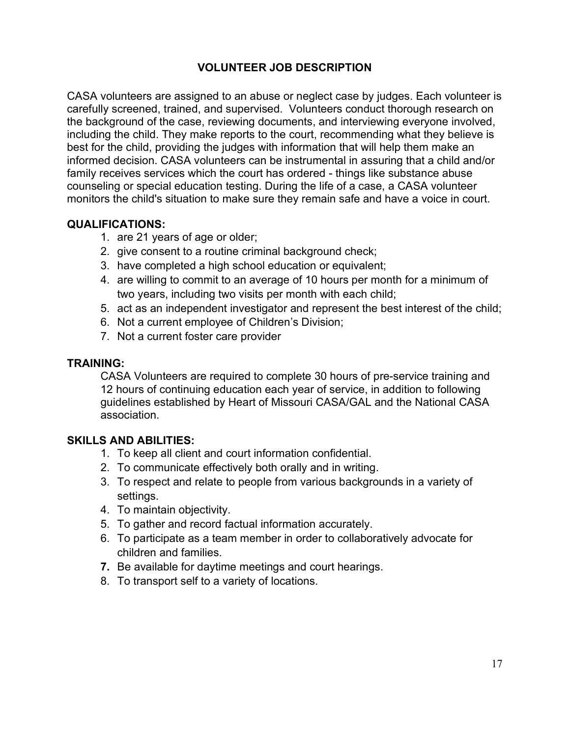# VOLUNTEER JOB DESCRIPTION

CASA volunteers are assigned to an abuse or neglect case by judges. Each volunteer is carefully screened, trained, and supervised. Volunteers conduct thorough research on the background of the case, reviewing documents, and interviewing everyone involved, including the child. They make reports to the court, recommending what they believe is best for the child, providing the judges with information that will help them make an informed decision. CASA volunteers can be instrumental in assuring that a child and/or family receives services which the court has ordered - things like substance abuse counseling or special education testing. During the life of a case, a CASA volunteer monitors the child's situation to make sure they remain safe and have a voice in court.

#### QUALIFICATIONS:

- 1. are 21 years of age or older;
- 2. give consent to a routine criminal background check;
- 3. have completed a high school education or equivalent;
- 4. are willing to commit to an average of 10 hours per month for a minimum of two years, including two visits per month with each child;
- 5. act as an independent investigator and represent the best interest of the child;
- 6. Not a current employee of Children's Division;
- 7. Not a current foster care provider

#### TRAINING:

CASA Volunteers are required to complete 30 hours of pre-service training and 12 hours of continuing education each year of service, in addition to following guidelines established by Heart of Missouri CASA/GAL and the National CASA association.

### SKILLS AND ABILITIES:

- 1. To keep all client and court information confidential.
- 2. To communicate effectively both orally and in writing.
- 3. To respect and relate to people from various backgrounds in a variety of settings.
- 4. To maintain objectivity.
- 5. To gather and record factual information accurately.
- 6. To participate as a team member in order to collaboratively advocate for children and families.
- 7. Be available for daytime meetings and court hearings.
- 8. To transport self to a variety of locations.